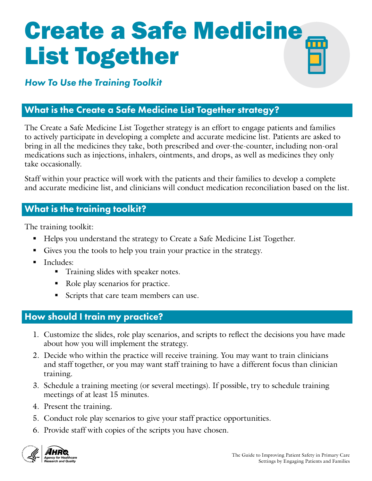# Create a Safe Medicine List Together

# *How To Use the Training Toolkit*

# What is the Create a Safe Medicine List Together strategy?

The Create a Safe Medicine List Together strategy is an effort to engage patients and families to actively participate in developing a complete and accurate medicine list. Patients are asked to bring in all the medicines they take, both prescribed and over-the-counter, including non-oral medications such as injections, inhalers, ointments, and drops, as well as medicines they only take occasionally.

Staff within your practice will work with the patients and their families to develop a complete and accurate medicine list, and clinicians will conduct medication reconciliation based on the list.

# What is the training toolkit?

The training toolkit:

- Helps you understand the strategy to Create a Safe Medicine List Together.
- Gives you the tools to help you train your practice in the strategy.
- **Includes:** 
	- **Training slides with speaker notes.**
	- Role play scenarios for practice.
	- Scripts that care team members can use.

## How should I train my practice?

- 1. Customize the slides, role play scenarios, and scripts to reflect the decisions you have made about how you will implement the strategy.
- 2. Decide who within the practice will receive training. You may want to train clinicians and staff together, or you may want staff training to have a different focus than clinician training.
- 3. Schedule a training meeting (or several meetings). If possible, try to schedule training meetings of at least 15 minutes.
- 4. Present the training.
- 5. Conduct role play scenarios to give your staff practice opportunities.
- 6. Provide staff with copies of the scripts you have chosen.